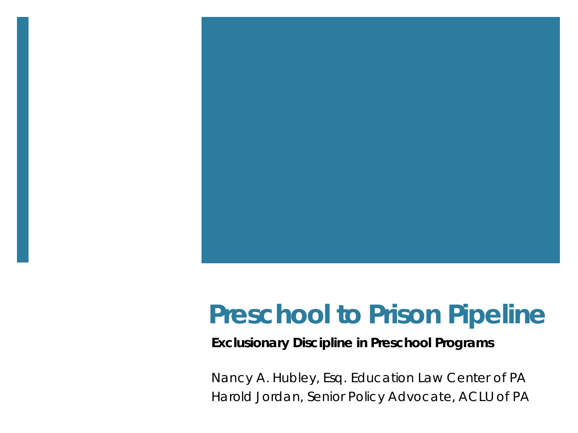

### **Preschool to Prison Pipeline**

#### **Exclusionary Discipline in Preschool Programs**

Nancy A. Hubley, Esq. Education Law Center of PA Harold Jordan, Senior Policy Advocate, ACLU of PA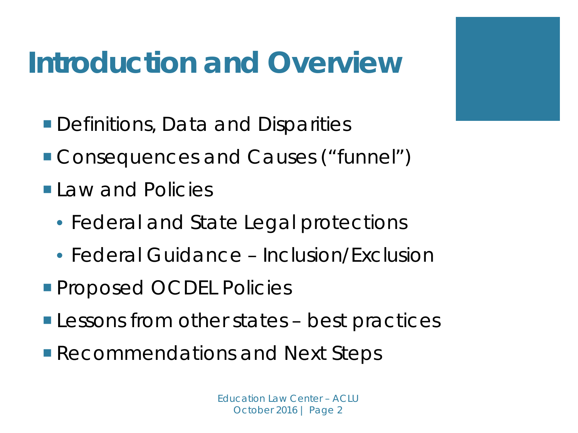## **Introduction and Overview**

- Definitions, Data and Disparities
- **Consequences and Causes ("funnel")**
- **Law and Policies** 
	- Federal and State Legal protections
	- Federal Guidance Inclusion/Exclusion
- **Proposed OCDEL Policies**
- **Lessons from other states best practices**
- Recommendations and Next Steps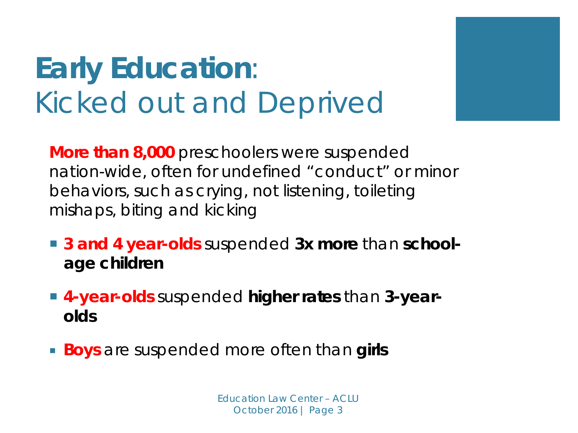## **Early Education**: *Kicked out and Deprived*

**More than 8,000** preschoolers were suspended nation-wide, often for undefined "conduct" or minor behaviors, such as crying, not listening, toileting mishaps, biting and kicking

- **3 and 4 year-olds** suspended **3x more** than **schoolage children**
- **4-year-olds** suspended **higher rates** than **3-yearolds**
- *Boys* are suspended more often than **girls**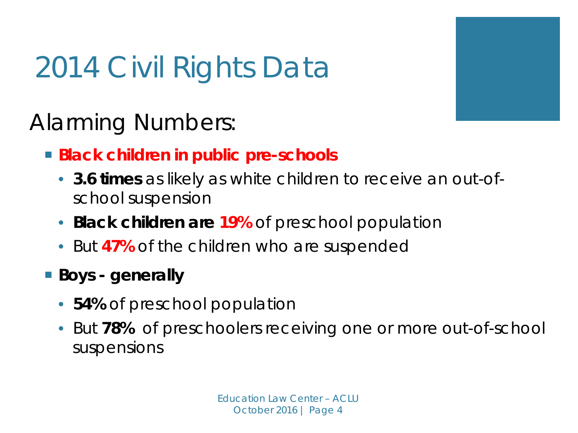## 2014 Civil Rights Data

Alarming Numbers:

- *Black* **children in public pre-schools**
	- **3.6 times** as likely as white children to receive an out-ofschool suspension
	- **Black children are 19%** of preschool population
	- But **47%** of the children who are suspended
- **Boys - generally**
	- **54%** of preschool population
	- But **78%** of preschoolers receiving one or more out-of-school suspensions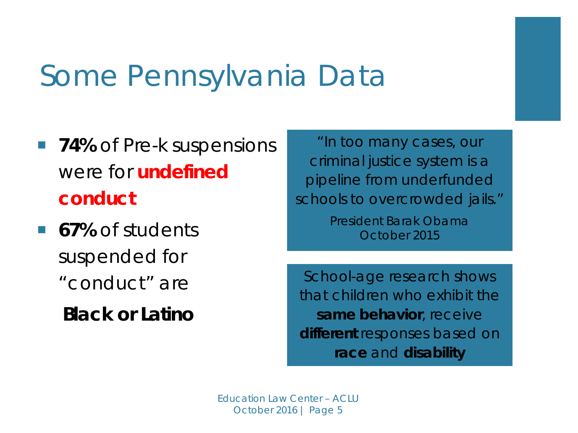## Some Pennsylvania Data

- **74%** of Pre-k suspensions were for *undefined conduct*
- **67%** of students suspended for "conduct" are

 **Black or Latino**

*"In too many cases, our criminal justice system is a pipeline from underfunded schools to overcrowded jails."* President Barak Obama

October 2015

School-age research shows that children who exhibit the *same behavior,* receive *different* responses based on *race* and *disability*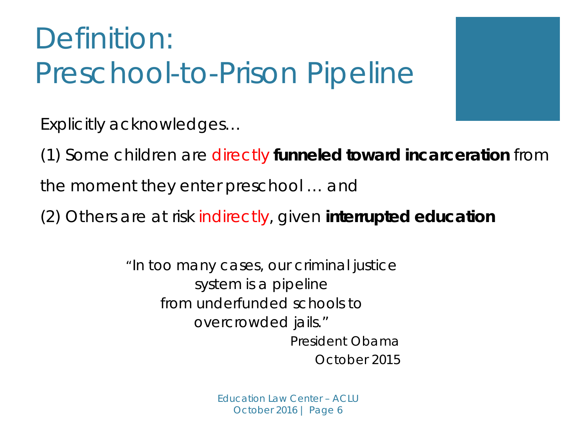## Definition: Preschool-to-Prison Pipeline

Explicitly acknowledges…

(1) Some children are directly **funneled toward incarceration** from

the moment they enter preschool … and

(2) Others are at risk indirectly, given **interrupted education**

*"In too many cases, our criminal justice system is a pipeline from underfunded schools to overcrowded jails."* President Obama October 2015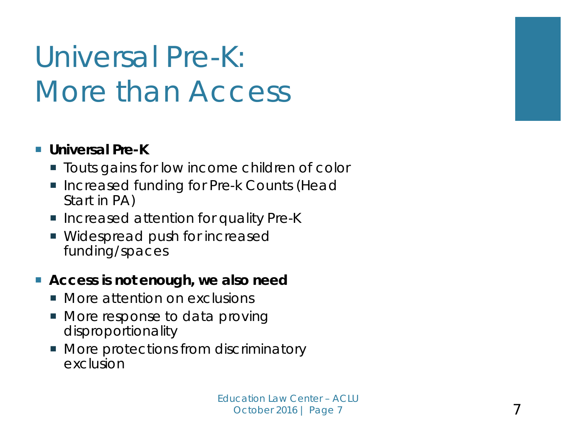## Universal Pre-K: *More than Access*

#### **Universal Pre-K**

- **T** Touts gains for low income children of color
- Increased funding for Pre-k Counts (Head Start in PA)
- Increased attention for quality Pre-K
- **Widespread push for increased** funding/spaces

#### **Access is not enough, we also need**

- **Nore attention on exclusions**
- More response to data proving disproportionality
- **More protections from discriminatory** exclusion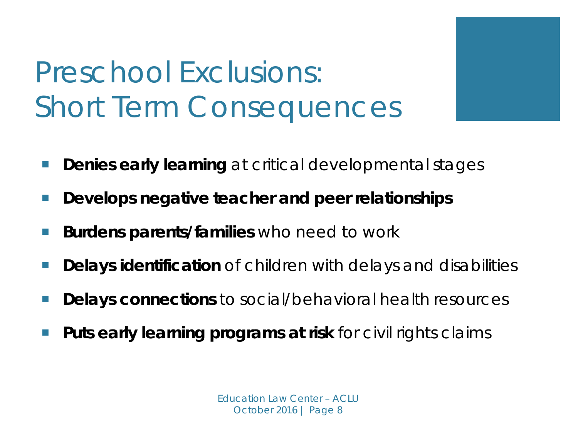## Preschool Exclusions: Short Term Consequences

- **Denies early learning** at critical developmental stages
- **Develops negative teacher and peer relationships**
- **Burdens parents/families** who need to work
- **Delays identification** of children with delays and disabilities
- **Delays connections** to social/behavioral health resources
- **Puts early learning programs at risk** for civil rights claims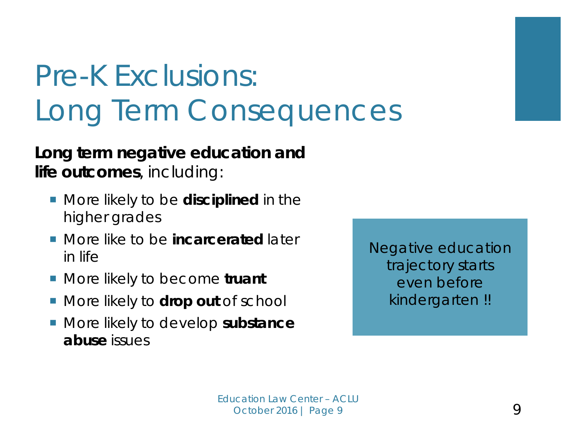## Pre-K Exclusions: Long Term Consequences

#### **Long term negative education and life outcomes**, including:

- **More likely to be disciplined in the** higher grades
- **More like to be** *incarcerated* later in life
- More likely to become *truant*
- **More likely to drop out of school**
- More likely to develop *substance abuse* issues

*Negative education trajectory starts even before kindergarten !!*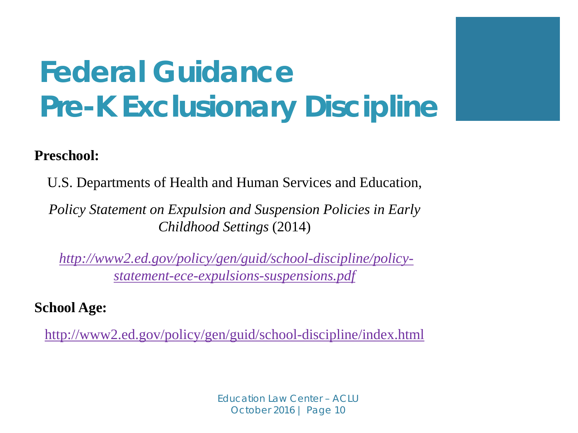## **Federal Guidance Pre-K Exclusionary Discipline**

#### **Preschool:**

U.S. Departments of Health and Human Services and Education,

*Policy Statement on Expulsion and Suspension Policies in Early Childhood Settings* (2014)

*[http://www2.ed.gov/policy/gen/guid/school-discipline/policy](http://www2.ed.gov/policy/gen/guid/school-discipline/policy-statement-ece-expulsions-suspensions.pdf)[statement-ece-expulsions-suspensions.pdf](http://www2.ed.gov/policy/gen/guid/school-discipline/policy-statement-ece-expulsions-suspensions.pdf)*

**School Age:**

<http://www2.ed.gov/policy/gen/guid/school-discipline/index.html>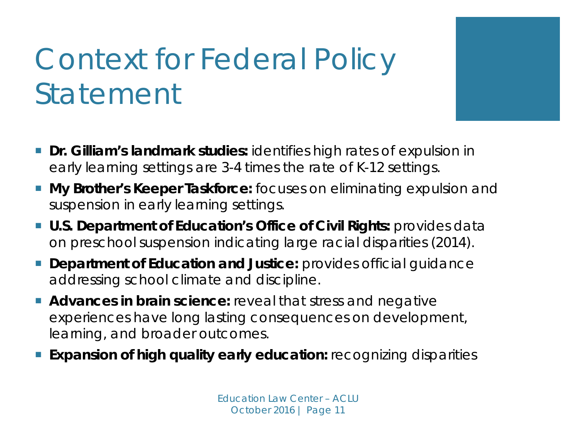## Context for Federal Policy Statement

- **Dr. Gilliam's landmark studies:** identifies high rates of expulsion in early learning settings are 3-4 times the rate of K-12 settings.
- **My Brother's Keeper Taskforce:** focuses on eliminating expulsion and suspension in early learning settings.
- **U.S. Department of Education's Office of Civil Rights: provides data** on preschool suspension indicating large racial disparities (2014).
- **Department of Education and Justice:** provides official quidance addressing school climate and discipline.
- **Advances in brain science:** reveal that stress and negative experiences have long lasting consequences on development, learning, and broader outcomes.
- **Expansion of high quality early education:** recognizing disparities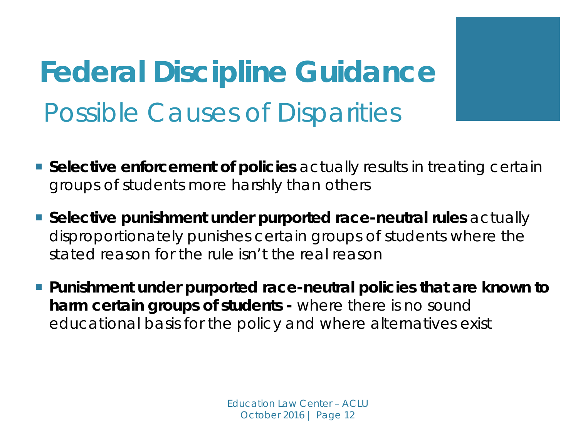**Federal Discipline Guidance** Possible Causes of Disparities

- **Selective enforcement of policies** actually results in treating certain groups of students more harshly than others
- **Selective punishment under purported race-neutral rules** actually disproportionately punishes certain groups of students where the stated reason for the rule isn't the real reason
- **Punishment under purported race-neutral policies that are known to harm certain groups of students -** where there is no sound educational basis for the policy and where alternatives exist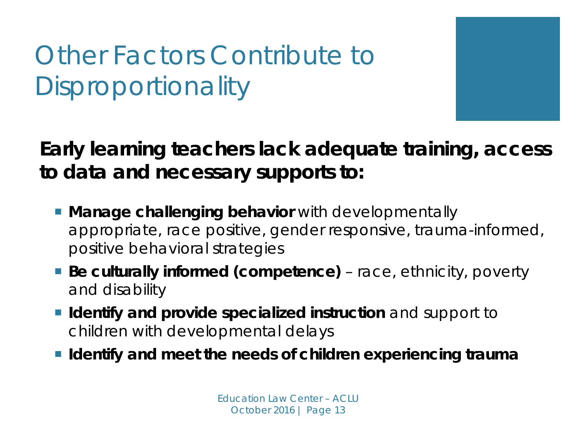### Other Factors Contribute to **Disproportionality**

#### **Early learning teachers lack adequate training, access to data and necessary supports to:**

- **Manage challenging behavior** with developmentally appropriate, race positive, gender responsive, trauma-informed, positive behavioral strategies
- **Be culturally informed (competence)** race, ethnicity, poverty and disability
- **I** Identify and provide specialized instruction and support to children with developmental delays
- **Identify and meet the needs of children experiencing trauma**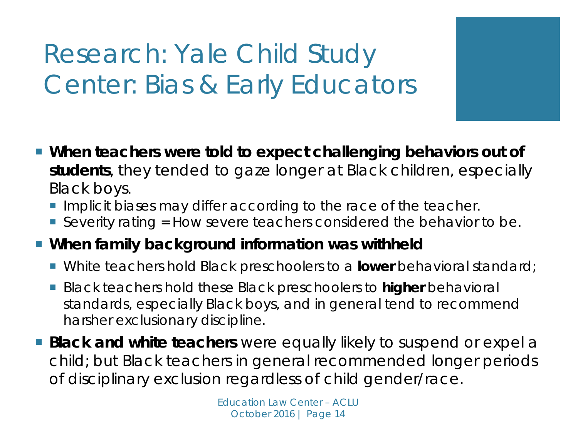### Research: Yale Child Study Center: Bias & Early Educators

- **When teachers were told to expect challenging behaviors out of students**, they tended to gaze longer at Black children, especially Black boys.
	- **Implicit biases may differ according to the race of the teacher.**
	- Severity rating  $=$  How severe teachers considered the behavior to be.
- **When family background information was withheld**
	- White teachers hold Black preschoolers to a *lower* behavioral standard;
	- Black teachers hold these Black preschoolers to *higher* behavioral standards, especially Black boys, and in general tend to recommend harsher exclusionary discipline.
- **Black and white teachers** were equally likely to suspend or expel a child; but Black teachers in general recommended longer periods of disciplinary exclusion regardless of child gender/race.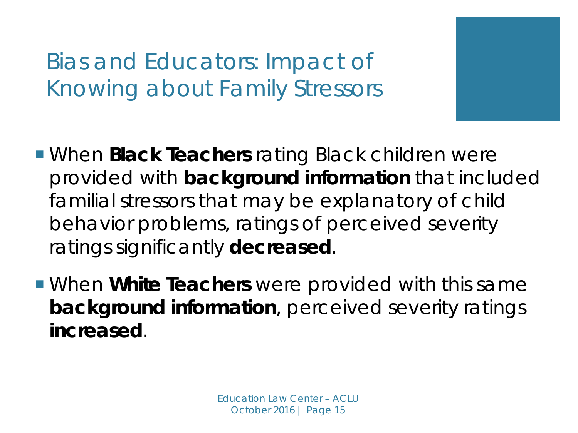### Bias and Educators: Impact of Knowing about Family Stressors

- When *Black Teachers* rating Black children were provided with *background information* that included familial stressors that may be explanatory of child behavior problems, ratings of perceived severity ratings significantly *decreased*.
- When *White Teachers* were provided with this same *background information*, perceived severity ratings *increased*.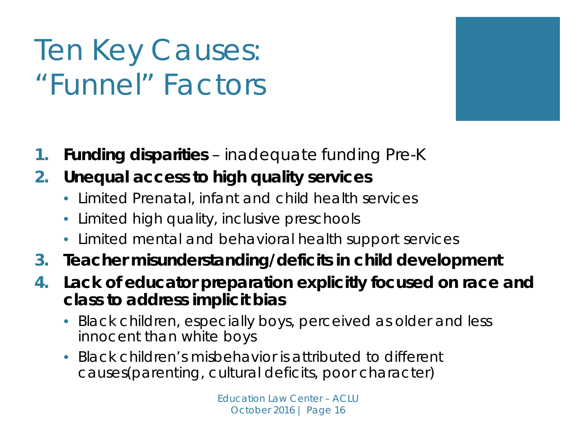## Ten Key Causes: *"Funnel" Factors*

- **1. Funding disparities**  inadequate funding Pre-K
- **2. Unequal access to high quality services** 
	- Limited Prenatal, infant and child health services
	- Limited high quality, inclusive preschools
	- Limited mental and behavioral health support services
- **3. Teacher misunderstanding/deficits in child development**
- **4. Lack of educator preparation explicitly focused on race and class to address implicit bias**
	- Black children, especially boys, perceived as older and less innocent than white boys
	- Black children's misbehavior is attributed to different causes(parenting, cultural deficits, poor character)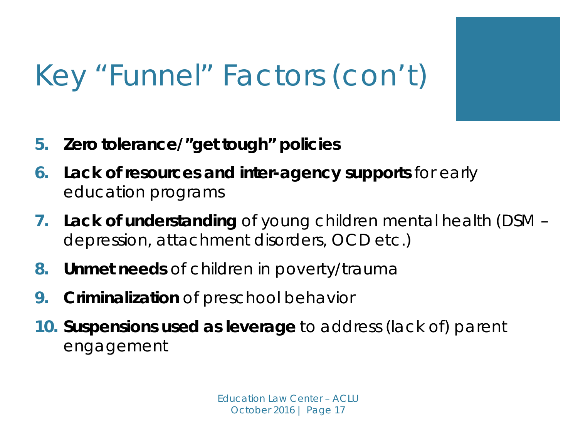## Key "Funnel" Factors (con't)

- **5. Zero tolerance/"get tough" policies**
- **6. Lack of resources and inter-agency supports** for early education programs
- **7. Lack of understanding** of young children mental health (DSM depression, attachment disorders, OCD etc.)
- **8. Unmet needs** of children in poverty/trauma
- **9. Criminalization** of preschool behavior
- **10. Suspensions used as leverage** to address (lack of) parent engagement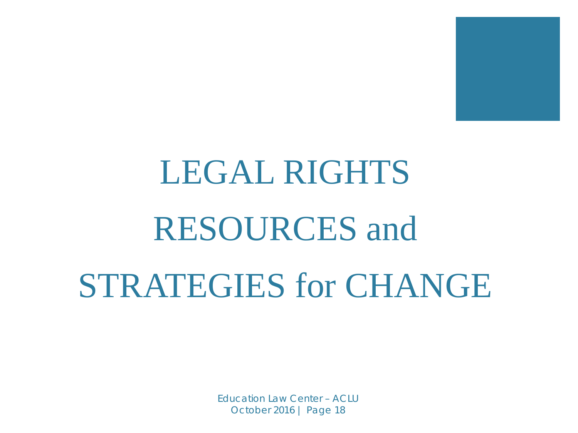

# LEGAL RIGHTS RESOURCES and STRATEGIES for CHANGE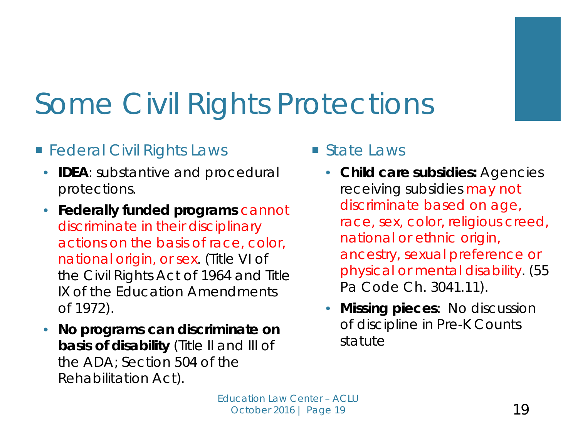

## Some Civil Rights Protections

#### **Federal Civil Rights Laws**

- **IDEA**: substantive and procedural protections.
- **Federally funded programs** cannot discriminate in their disciplinary actions on the basis of race, color, national origin, or sex. (Title VI of the Civil Rights Act of 1964 and Title IX of the Education Amendments of 1972).
- **No programs can discriminate on basis of disability** (Title II and III of the ADA; Section 504 of the Rehabilitation Act).
- State Laws
	- **Child care subsidies:** Agencies receiving subsidies may not discriminate based on age, race, sex, color, religious creed, national or ethnic origin, ancestry, sexual preference or physical or mental disability. (55 Pa Code Ch. 3041.11).
	- **Missing pieces**: No discussion of discipline in Pre-K Counts statute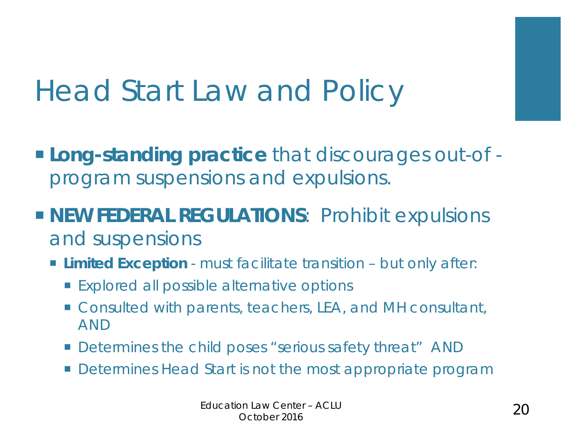## Head Start Law and Policy

- **Long-standing practice** that discourages out-of program suspensions and expulsions.
- **NEW FEDERAL REGULATIONS: Prohibit expulsions** and suspensions
	- **Limited Exception**  must facilitate transition but only after:
		- **Explored all possible alternative options**
		- Consulted with parents, teachers, LEA, and MH consultant, AND
		- **Determines the child poses "serious safety threat" AND**
		- Determines Head Start is not the most appropriate program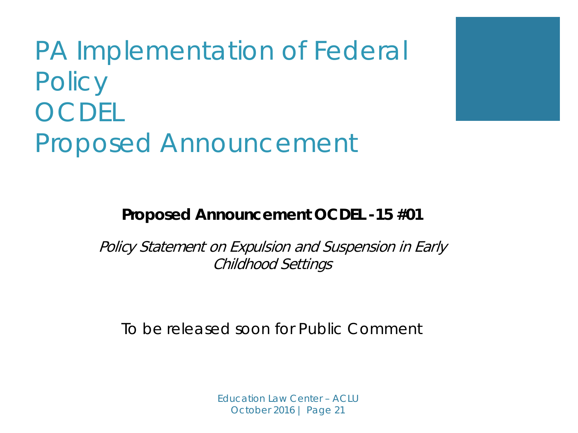### PA Implementation of Federal **Policy** OCDEL Proposed Announcement

**Proposed Announcement OCDEL -15 #01**

Policy Statement on Expulsion and Suspension in Early Childhood Settings

To be released soon for Public Comment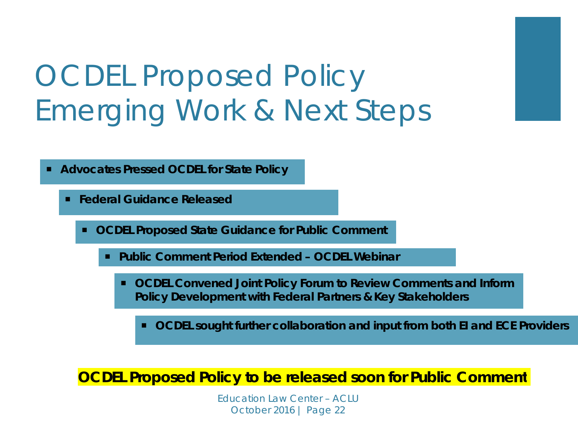## OCDEL Proposed Policy Emerging Work & Next Steps

**Advocates Pressed OCDEL for State Policy**

**Federal Guidance Released** 

**OCDEL Proposed State Guidance for Public Comment**

**Public Comment Period Extended – OCDEL Webinar** 

 **OCDEL Convened Joint Policy Forum to Review Comments and Inform Policy Development with Federal Partners & Key Stakeholders**

**OCDEL sought further collaboration and input from both EI and ECE Providers** 

**OCDEL Proposed Policy to be released soon for Public Comment**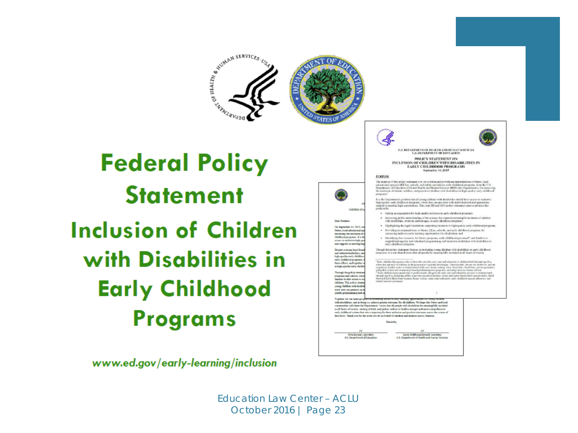

It is the Depintments' position that all peans stables is will deviablish a deald have access to inclusive injection of programs, where two are provided with introduced and appropriate responsive plant expressions. This j **LINTED STA** . Setting an expectation for high-quality invitation in early childhood grograms  $\bullet$  . Increasing public understanding of the science that supports meaningful inclusion of children with distribute, from the earliest ages, in early childrend programs; **Dear Partners** · Highlighting the legal franchations supporting inclusion in high-quality carity childhood programs. On Septecher 14, 2015, w · Providing recommends from to Stone, LEAs, schools, and curby did disord research for Status, local educational as merosing the inclusion of c<br>childhood program. It is the increasing inclusive early learning opportunities for all children, and  $\bullet$  . Mentions for cosmos for finns, program, each childreni personal", and funities to support the papirity indentical programing and inclusion of distincts with distribution in and childrenic in access to includes high qu and repports an mersing in Though this policy statement focuses on including young children with destributes in early childhood<br>programs, it is our shored vision that all people be meaning fully included in all fasces of receipy Despite a strong legal firm and without disabilities, one high-quality early childhes<br>sarly childhood grogonous,<br>these efforts, and together That diffuses from the first in the state dimension of the state of the state of the state of the state of the state of the state of the state of the state of the state of the state of the state of the state of the state in high-quality early-child Through the policy states programs and rehoots, teafamilies to take action to e children. This policy ata yang dalam with doubl work with our partners in Tagether we can sada progress and *<u>A BALLASH A BALLASH A BALLASH A BALLASH A BALLASH A BALLASH A BALLASH A BALLASH A BALLASH A BALLASH A BALLASH</u>* with disabilities, and in delay so, achieve genera commun for all children. We hope that from a soliceal control of the Department " interest of the state of the state of the state of the state of the state of the state o sady childhood system that nets a trajectory for their inclusion and positive outcomes areoss the nourse of Gest lives. Thank you for the week you do on behalf of children and families across America. Sylvia Matthews DuriesR, Secretary<br>U.S. Department of Health and Human Services Ame Duncan, Secretary<br>U.S. Department of Educati

U.S. DEPARTMENT OF HEALTH AND BUYEAN SERVICES<br>U.S. DEPARTMENT OF EDUCATION

POLICY STATEMENT ON INCLUSION OF CHILDREN WITH DISABILITIES IN **EARLY CHILDHOOD PROGRAMS** September 14, 2019

The purpose of this policy statement is to set a violential provide necessarisations to Statis, local columns of the  $\alpha$ , whech, and public and provide material approach, into the CCS, and the Dippertence of the material

Ŀ.

PURPOSE

programs.

www.ed.gov/early-learning/inclusion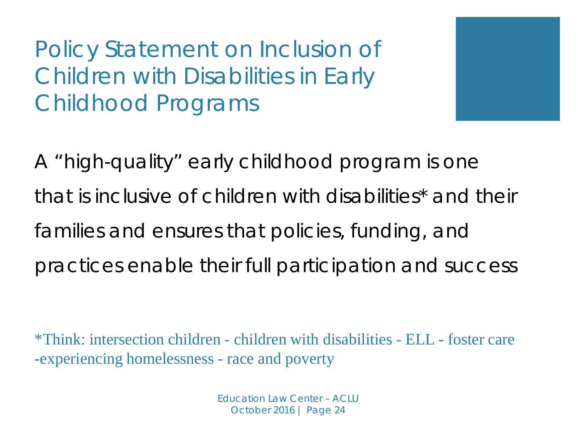*A "high-quality" early childhood program is one that is inclusive of children with disabilities\* and their families and ensures that policies, funding, and practices enable their full participation and success* 

\*Think: intersection children - children with disabilities - ELL - foster care -experiencing homelessness - race and poverty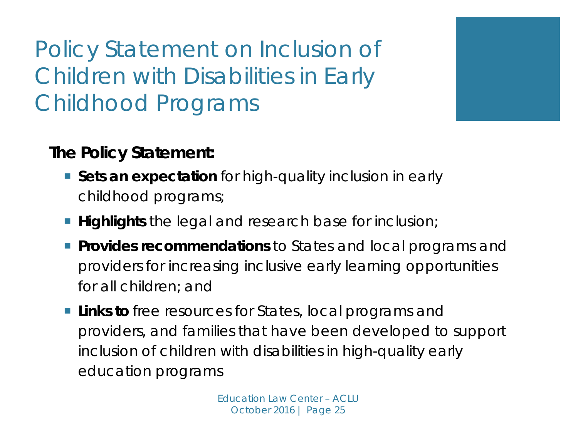#### *The Policy Statement:*

- **Sets an expectation** for high-quality inclusion in early childhood programs;
- **Highlights** the legal and research base for inclusion;
- **Provides recommendations** to States and local programs and providers for increasing inclusive early learning opportunities for all children; and
- **Links to** free resources for States, local programs and providers, and families that have been developed to support inclusion of children with disabilities in high-quality early education programs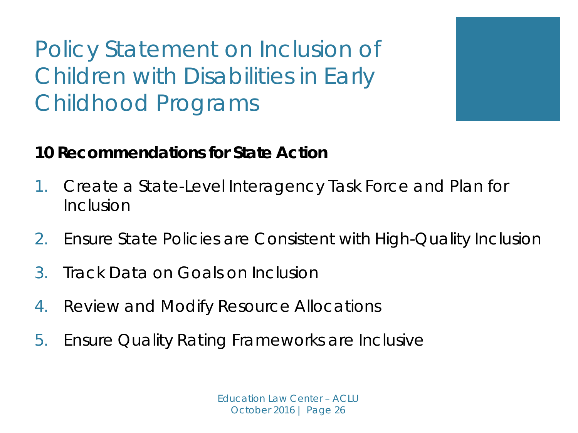#### **10 Recommendations for State Action**

- 1. Create a State-Level Interagency Task Force and Plan for Inclusion
- 2. Ensure State Policies are Consistent with High-Quality Inclusion
- 3. Track Data on Goals on Inclusion
- 4. Review and Modify Resource Allocations
- 5. Ensure Quality Rating Frameworks are Inclusive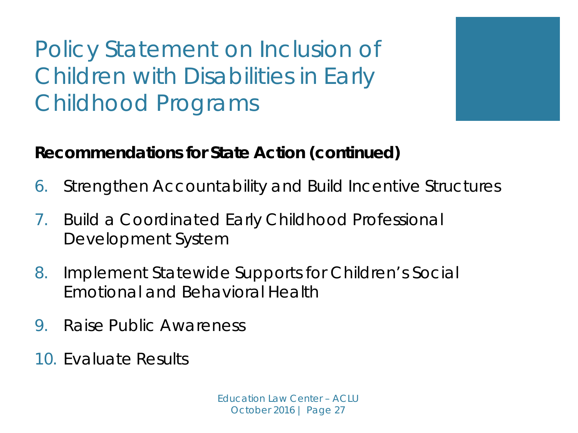

- 6. Strengthen Accountability and Build Incentive Structures
- 7. Build a Coordinated Early Childhood Professional Development System
- 8. Implement Statewide Supports for Children's Social Emotional and Behavioral Health
- 9. Raise Public Awareness
- 10. Evaluate Results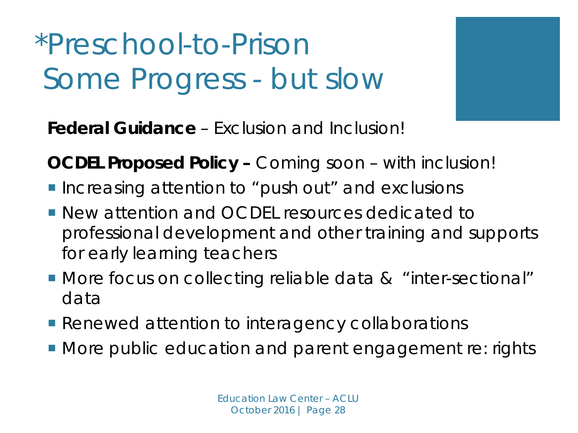\*Preschool-to-Prison Some Progress - *but slow*



**Federal Guidance** – Exclusion and Inclusion!

**OCDEL Proposed Policy –** *Coming soon – with inclusion!*

- **Increasing attention to "push out" and exclusions**
- **New attention and OCDEL resources dedicated to** professional development and other training and supports for early learning teachers
- More focus on collecting reliable data & "inter-sectional" data
- **Renewed attention to interagency collaborations**
- **More public education and parent engagement re: rights**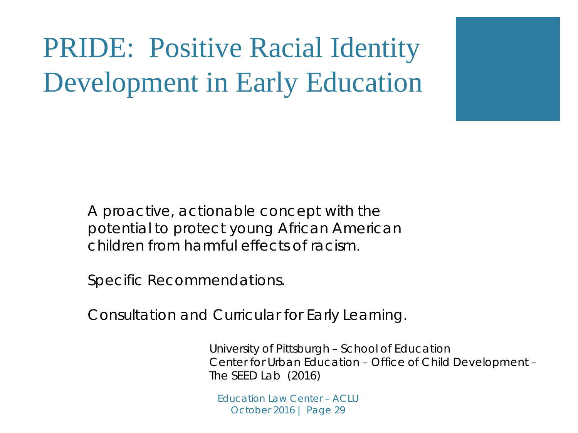

*A proactive, actionable concept with the potential to protect young African American children from harmful effects of racism*.

*Specific Recommendations.*

*Consultation and Curricular for Early Learning.*

University of Pittsburgh – School of Education Center for Urban Education – Office of Child Development – The SEED Lab (2016)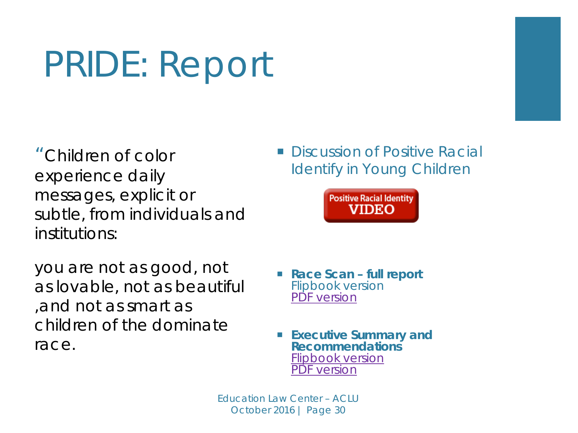## PRIDE: Report

*"Children of color experience daily messages, explicit or subtle, from individuals and institutions:* 

*you are not as good, not as lovable, not as beautiful ,and not as smart as children of the dominate race.*

 Discussion of Positive Racial Identify in Young Children



- **Race Scan – full report** Flipbook version [PDF version](http://www.ocd.pitt.edu/Files/Publications/RaceScan-FullReport12.pdf)
- **Executive Summary and Recommendations** [Flipbook version](http://online.flipbuilder.com/nvac/kmne/) [PDF version](http://www.ocd.pitt.edu/Files/Publications/RaceSummary.pdf)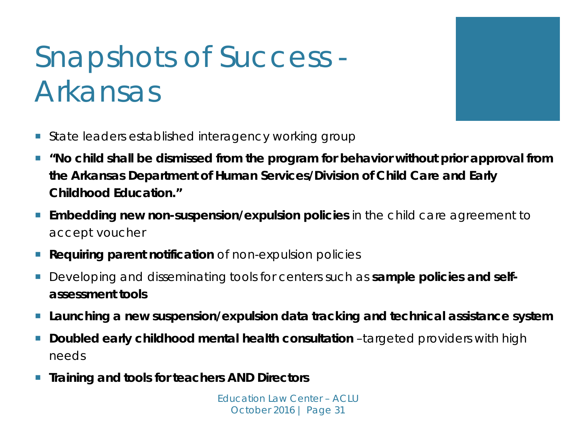## Snapshots of Success - Arkansas

- **State leaders established interagency working group**
- *"No child shall be dismissed from the program for behavior without prior approval from the Arkansas Department of Human Services/Division of Child Care and Early Childhood Education."*
- **Embedding new non-suspension/expulsion policies** in the child care agreement to accept voucher
- **Requiring parent notification** of non-expulsion policies
- **E** Developing and disseminating tools for centers such as **sample policies and selfassessment tools**
- **Launching a new suspension/expulsion data tracking and technical assistance system**
- **Doubled early childhood mental health consultation** -targeted providers with high needs
- **Training and tools for teachers AND Directors**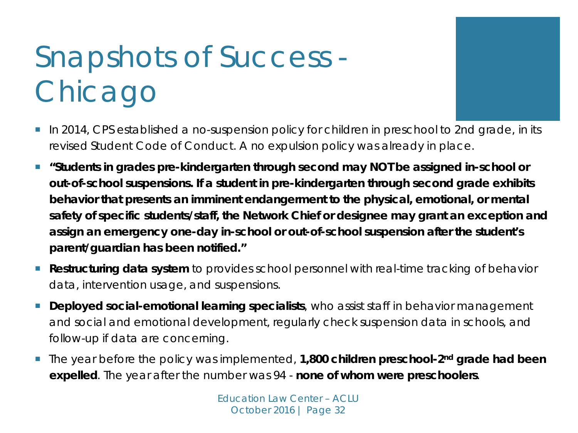## Snapshots of Success - Chicago



- *"Students in grades pre-kindergarten through second may NOT be assigned in-school or out-of-school suspensions. If a student in pre-kindergarten through second grade exhibits behavior that presents an imminent endangerment to the physical, emotional, or mental safety of specific students/staff, the Network Chief or designee may grant an exception and assign an emergency one-day in-school or out-of-school suspension after the student's parent/guardian has been notified."*
- **Restructuring data system** to provides school personnel with real-time tracking of behavior data, intervention usage, and suspensions.
- **Deployed social-emotional learning specialists**, who assist staff in behavior management and social and emotional development, regularly check suspension data in schools, and follow-up if data are concerning.
- The year before the policy was implemented, **1,800 children preschool-2nd grade had been expelled**. The year after the number was 94 - **none of whom were preschoolers**.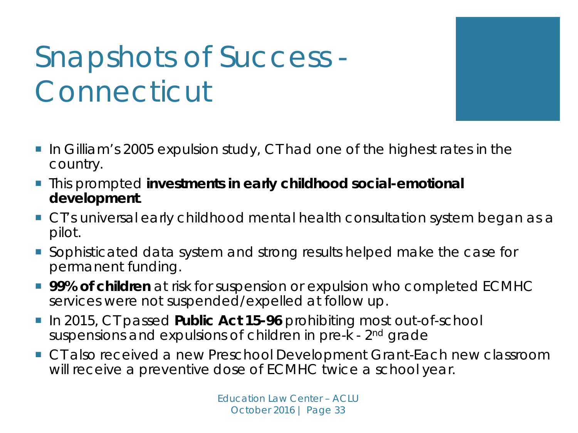## Snapshots of Success - Connecticut

- In Gilliam's 2005 expulsion study, CT had one of the highest rates in the country.
- **This prompted investments in early childhood social-emotional development**.
- **CT's universal early childhood mental health consultation system began as a** pilot.
- **Sophisticated data system and strong results helped make the case for** permanent funding.
- **99% of children** at risk for suspension or expulsion who completed ECMHC services were not suspended/expelled at follow up.
- In 2015, CT passed **Public Act 15-96** prohibiting most out-of-school suspensions and expulsions of children in pre-k - 2<sup>nd</sup> grade
- CT also received a new Preschool Development Grant-Each new classroom will receive a preventive dose of ECMHC twice a school year.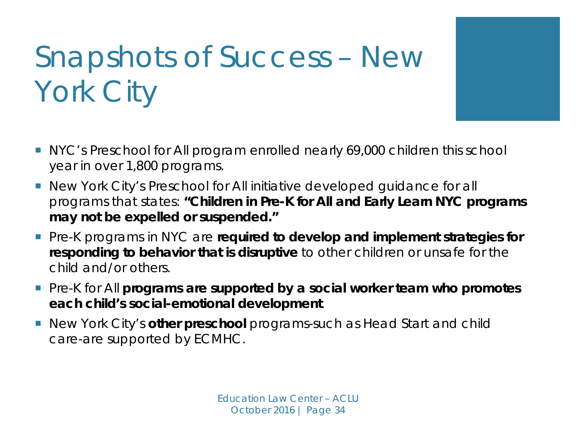## Snapshots of Success – New York City

- NYC's Preschool for All program enrolled nearly 69,000 children this school year in over 1,800 programs.
- New York City's Preschool for All initiative developed guidance for all programs that states: **"Children in Pre-K for All and Early Learn NYC programs may not be expelled or suspended."**
- **Pre-K programs in NYC are required to develop and implement strategies for responding to behavior that is disruptive** to other children or unsafe for the child and/or others.
- **Pre-K for All programs are supported by a social worker team who promotes each child's social-emotional development**.
- New York City's **other preschool** programs-such as Head Start and child care-are supported by ECMHC.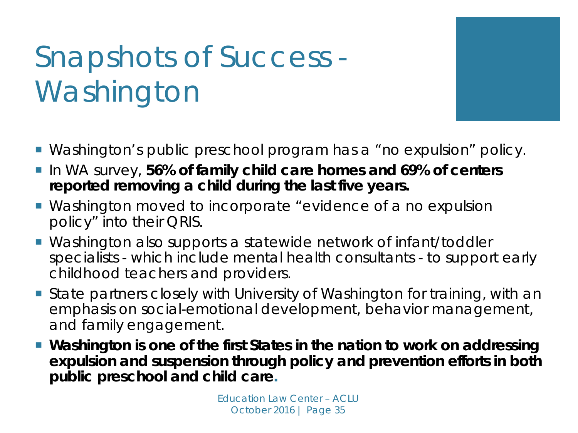## Snapshots of Success - Washington

- Washington's public preschool program has a "no expulsion" policy.
- **ID WA survey, 56% of family child care homes and 69% of centers reported removing a child during the last five years.**
- Washington moved to incorporate "evidence of a no expulsion policy" into their QRIS.
- Washington also supports a statewide network of infant/toddler specialists - which include mental health consultants - to support early childhood teachers and providers.
- State partners closely with University of Washington for training, with an emphasis on social-emotional development, behavior management, and family engagement.
- Washington is one of the first States in the nation to work on addressing *expulsion and suspension through policy and prevention efforts in both public preschool and child care.*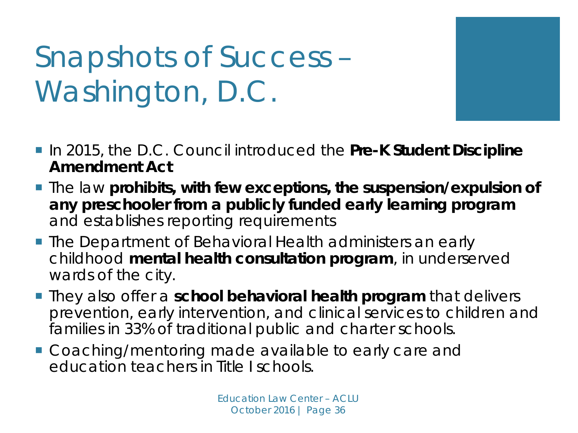Snapshots of Success – Washington, D.C.

- In 2015, the D.C. Council introduced the Pre-K Student Discipline **Amendment Act**
- **The law prohibits, with few exceptions, the suspension/expulsion of any preschooler from a publicly funded early learning program**  and establishes reporting requirements
- **The Department of Behavioral Health administers an early** childhood **mental health consultation program**, in underserved wards of the city.
- **They also offer a school behavioral health program** that delivers prevention, early intervention, and clinical services to children and families in 33% of traditional public and charter schools.
- **Coaching/mentoring made available to early care and** education teachers in Title I schools.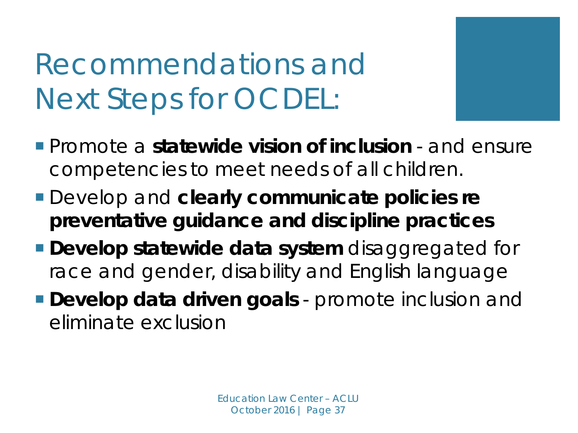## Recommendations and Next Steps for OCDEL:

- Promote a **statewide vision of inclusion**  and ensure competencies to meet needs of all children.
- Develop and **clearly communicate policies re preventative guidance and discipline practices**
- **Develop statewide data system** *disaggregated for race and gender, disability and English language*
- **Develop** *data driven* **goals**  promote inclusion and eliminate exclusion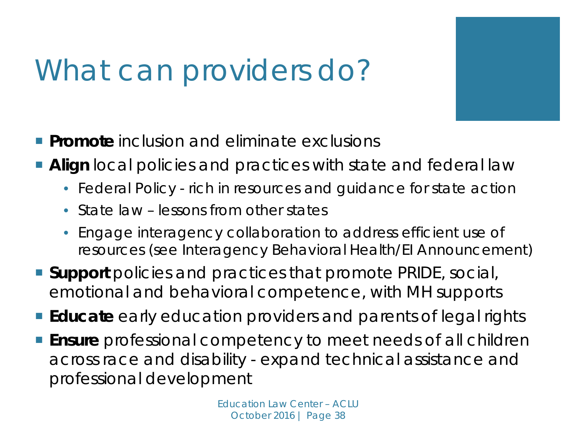## What can providers do?

- **Promote** inclusion and eliminate exclusions
- **Align** local policies and practices with state and federal law
	- Federal Policy rich in resources and guidance for state action
	- State law lessons from other states
	- Engage interagency collaboration to address efficient use of resources (see Interagency Behavioral Health/EI Announcement)
- **Support** policies and practices that promote PRIDE, social, emotional and behavioral competence, with MH supports
- **Educate** early education providers and parents of legal rights
- **Ensure** professional competency to meet needs of all children across race and disability - expand technical assistance and professional development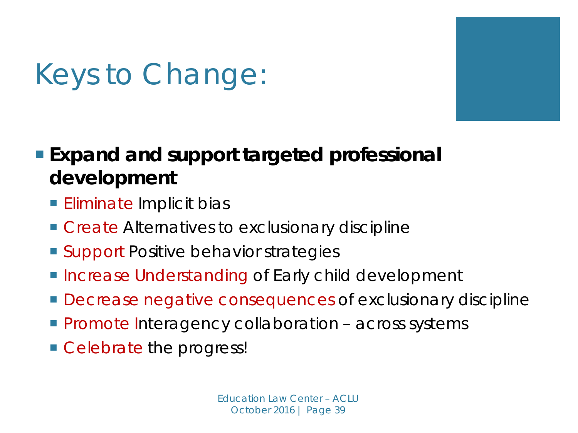

## Keys to Change:

### **Expand and support targeted professional development**

- **Eliminate Implicit bias**
- Create Alternatives to exclusionary discipline
- Support Positive behavior strategies
- **Increase Understanding of Early child development**
- **Decrease negative consequences of exclusionary discipline**
- **Promote Interagency collaboration across systems**
- Celebrate the progress!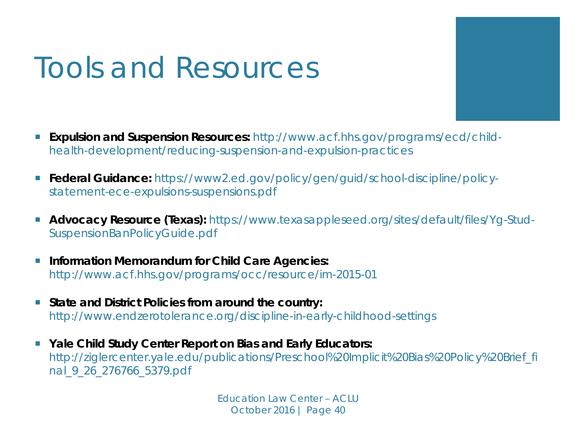## Tools and Resources

- **Expulsion and Suspension Resources:** http://www.acf.hhs.gov/programs/ecd/child*health-development/reducing-suspension-and-expulsion-practices*
- Federal Guidance: https://www2.ed.gov/policy/gen/guid/school-discipline/policy*statement-ece-expulsions-suspensions.pdf*
- **Advocacy Resource (Texas):** https://www.texasappleseed.org/sites/default/files/Yq-Stud-*SuspensionBanPolicyGuide.pdf*
- **Information Memorandum for Child Care Agencies:** *http://www.acf.hhs.gov/programs/occ/resource/im-2015-01*
- State and District Policies from around the country: http://www.endzerotolerance.org/discipline-in-early-childhood-settings
- **Yale Child Study Center Report on Bias and Early Educators:** http://ziglercenter.yale.edu/publications/Preschool%20Implicit%20Bias%20Policy%20Brief\_fi nal\_9\_26\_276766\_5379.pdf